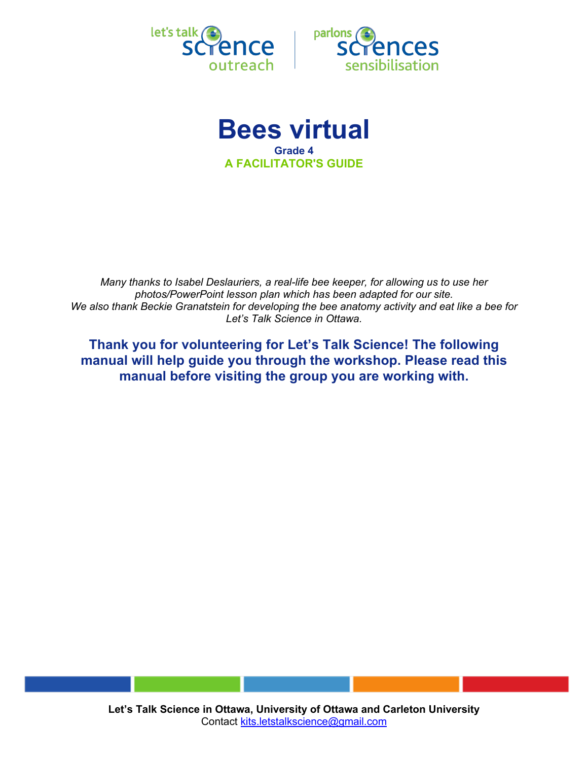



**Bees virtual Grade 4 A FACILITATOR'S GUIDE**

*Many thanks to Isabel Deslauriers, a real-life bee keeper, for allowing us to use her photos/PowerPoint lesson plan which has been adapted for our site. We also thank Beckie Granatstein for developing the bee anatomy activity and eat like a bee for Let's Talk Science in Ottawa.*

**Thank you for volunteering for Let's Talk Science! The following manual will help guide you through the workshop. Please read this manual before visiting the group you are working with.**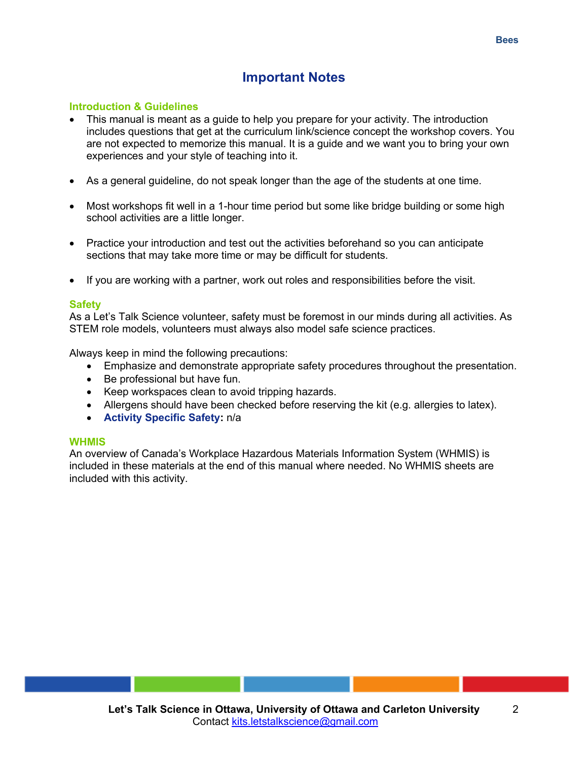## **Important Notes**

## **Introduction & Guidelines**

- This manual is meant as a guide to help you prepare for your activity. The introduction includes questions that get at the curriculum link/science concept the workshop covers. You are not expected to memorize this manual. It is a guide and we want you to bring your own experiences and your style of teaching into it.
- As a general guideline, do not speak longer than the age of the students at one time.
- Most workshops fit well in a 1-hour time period but some like bridge building or some high school activities are a little longer.
- Practice your introduction and test out the activities beforehand so you can anticipate sections that may take more time or may be difficult for students.
- If you are working with a partner, work out roles and responsibilities before the visit.

#### **Safety**

As a Let's Talk Science volunteer, safety must be foremost in our minds during all activities. As STEM role models, volunteers must always also model safe science practices.

Always keep in mind the following precautions:

- Emphasize and demonstrate appropriate safety procedures throughout the presentation.
- Be professional but have fun.
- Keep workspaces clean to avoid tripping hazards.
- Allergens should have been checked before reserving the kit (e.g. allergies to latex).
- **Activity Specific Safety:** n/a

#### **WHMIS**

An overview of Canada's Workplace Hazardous Materials Information System (WHMIS) is included in these materials at the end of this manual where needed. No WHMIS sheets are included with this activity.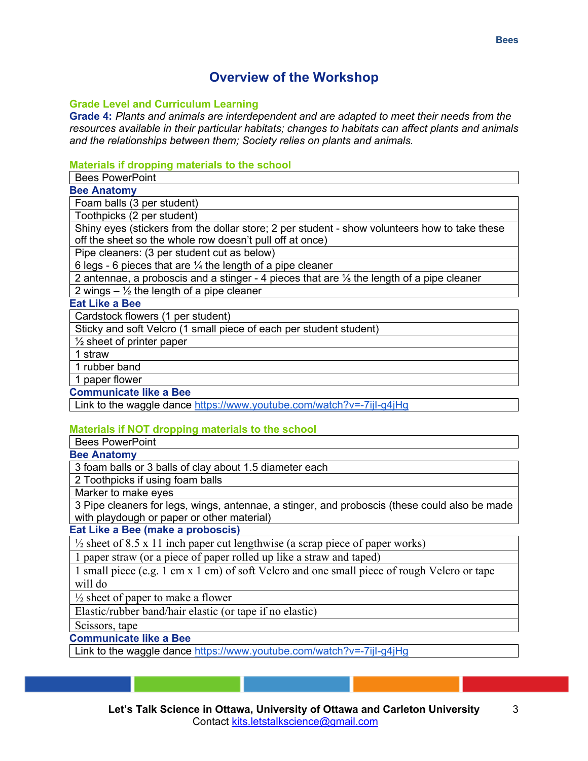# **Overview of the Workshop**

## **Grade Level and Curriculum Learning**

**Grade 4:** *Plants and animals are interdependent and are adapted to meet their needs from the resources available in their particular habitats; changes to habitats can affect plants and animals and the relationships between them; Society relies on plants and animals.*

## **Materials if dropping materials to the school**

Bees PowerPoint

**Bee Anatomy**

Foam balls (3 per student)

Toothpicks (2 per student)

Shiny eyes (stickers from the dollar store; 2 per student - show volunteers how to take these off the sheet so the whole row doesn't pull off at once)

Pipe cleaners: (3 per student cut as below)

6 legs - 6 pieces that are  $\frac{1}{4}$  the length of a pipe cleaner

2 antennae, a proboscis and a stinger - 4 pieces that are ⅛ the length of a pipe cleaner

2 wings  $\frac{1}{2}$  the length of a pipe cleaner

## **Eat Like a Bee**

Cardstock flowers (1 per student)

Sticky and soft Velcro (1 small piece of each per student student)

 $\frac{1}{2}$  sheet of printer paper

1 straw

1 rubber band

1 paper flower

**Communicate like a Bee**

Link to the waggle dance https://www.youtube.com/watch?v=-7ijI-g4jHg

## **Materials if NOT dropping materials to the school**

Bees PowerPoint

#### **Bee Anatomy**

3 foam balls or 3 balls of clay about 1.5 diameter each

2 Toothpicks if using foam balls

Marker to make eyes

3 Pipe cleaners for legs, wings, antennae, a stinger, and proboscis (these could also be made with playdough or paper or other material)

**Eat Like a Bee (make a proboscis)**

 $\frac{1}{2}$  sheet of 8.5 x 11 inch paper cut lengthwise (a scrap piece of paper works)

1 paper straw (or a piece of paper rolled up like a straw and taped)

1 small piece (e.g. 1 cm x 1 cm) of soft Velcro and one small piece of rough Velcro or tape will do

 $\frac{1}{2}$  sheet of paper to make a flower

Elastic/rubber band/hair elastic (or tape if no elastic)

Scissors, tape

**Communicate like a Bee**

Link to the waggle dance https://www.youtube.com/watch?v=-7ijI-g4jHg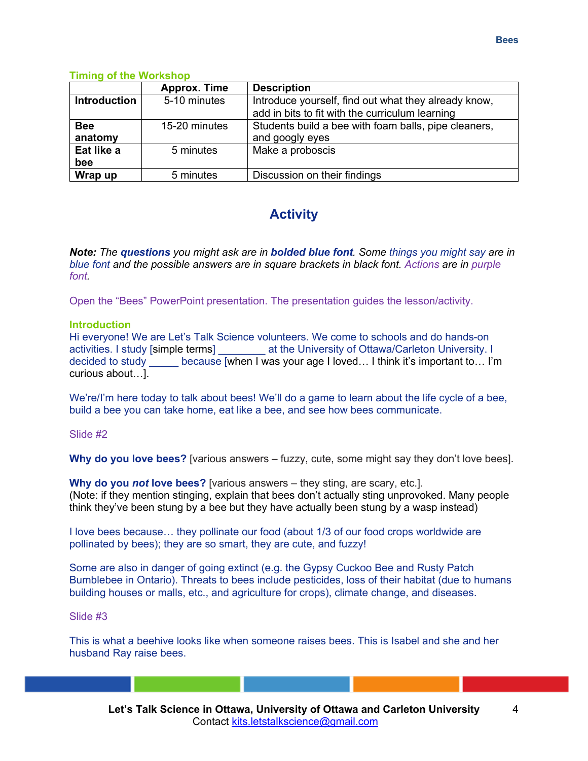## **Timing of the Workshop**

|                       | <b>Approx. Time</b> | <b>Description</b>                                                      |
|-----------------------|---------------------|-------------------------------------------------------------------------|
| <b>Introduction</b>   | 5-10 minutes        | Introduce yourself, find out what they already know,                    |
|                       |                     | add in bits to fit with the curriculum learning                         |
| <b>Bee</b><br>anatomy | 15-20 minutes       | Students build a bee with foam balls, pipe cleaners,<br>and googly eyes |
| Eat like a<br>bee     | 5 minutes           | Make a proboscis                                                        |
| Wrap up               | 5 minutes           | Discussion on their findings                                            |

# **Activity**

*Note: The questions you might ask are in bolded blue font. Some things you might say are in blue font and the possible answers are in square brackets in black font. Actions are in purple font.*

Open the "Bees" PowerPoint presentation. The presentation guides the lesson/activity.

## **Introduction**

Hi everyone! We are Let's Talk Science volunteers. We come to schools and do hands-on activities. I study [simple terms] \_\_\_\_\_\_\_\_ at the University of Ottawa/Carleton University. I decided to study because [when I was your age I loved... I think it's important to... I'm curious about…].

We're/I'm here today to talk about bees! We'll do a game to learn about the life cycle of a bee, build a bee you can take home, eat like a bee, and see how bees communicate.

#### Slide #2

**Why do you love bees?** [various answers – fuzzy, cute, some might say they don't love bees].

**Why do you** *not* **love bees?** [various answers – they sting, are scary, etc.]. (Note: if they mention stinging, explain that bees don't actually sting unprovoked. Many people think they've been stung by a bee but they have actually been stung by a wasp instead)

I love bees because… they pollinate our food (about 1/3 of our food crops worldwide are pollinated by bees); they are so smart, they are cute, and fuzzy!

Some are also in danger of going extinct (e.g. the Gypsy Cuckoo Bee and Rusty Patch Bumblebee in Ontario). Threats to bees include pesticides, loss of their habitat (due to humans building houses or malls, etc., and agriculture for crops), climate change, and diseases.

#### Slide #3

This is what a beehive looks like when someone raises bees. This is Isabel and she and her husband Ray raise bees.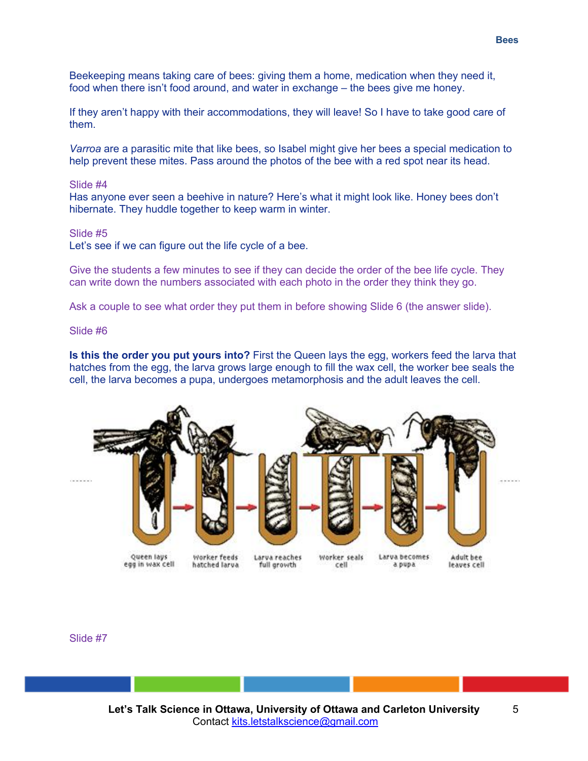Beekeeping means taking care of bees: giving them a home, medication when they need it, food when there isn't food around, and water in exchange – the bees give me honey.

If they aren't happy with their accommodations, they will leave! So I have to take good care of them.

*Varroa* are a parasitic mite that like bees, so Isabel might give her bees a special medication to help prevent these mites. Pass around the photos of the bee with a red spot near its head.

#### Slide #4

Has anyone ever seen a beehive in nature? Here's what it might look like. Honey bees don't hibernate. They huddle together to keep warm in winter.

#### Slide #5

Let's see if we can figure out the life cycle of a bee.

Give the students a few minutes to see if they can decide the order of the bee life cycle. They can write down the numbers associated with each photo in the order they think they go.

Ask a couple to see what order they put them in before showing Slide 6 (the answer slide).

#### Slide #6

**Is this the order you put yours into?** First the Queen lays the egg, workers feed the larva that hatches from the egg, the larva grows large enough to fill the wax cell, the worker bee seals the cell, the larva becomes a pupa, undergoes metamorphosis and the adult leaves the cell.



Slide #7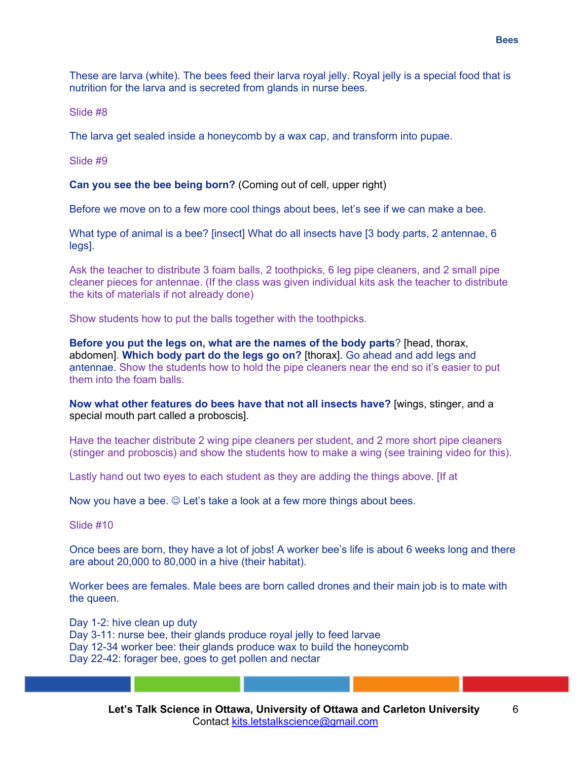These are larva (white). The bees feed their larva royal jelly. Royal jelly is a special food that is nutrition for the larva and is secreted from glands in nurse bees.

Slide #8

The larva get sealed inside a honeycomb by a wax cap, and transform into pupae.

Slide #9

**Can you see the bee being born?** (Coming out of cell, upper right)

Before we move on to a few more cool things about bees, let's see if we can make a bee.

What type of animal is a bee? [insect] What do all insects have [3 body parts, 2 antennae, 6 legs].

Ask the teacher to distribute 3 foam balls, 2 toothpicks, 6 leg pipe cleaners, and 2 small pipe cleaner pieces for antennae. (If the class was given individual kits ask the teacher to distribute the kits of materials if not already done)

Show students how to put the balls together with the toothpicks.

**Before you put the legs on, what are the names of the body parts**? [head, thorax, abdomen]. **Which body part do the legs go on?** [thorax]. Go ahead and add legs and antennae. Show the students how to hold the pipe cleaners near the end so it's easier to put them into the foam balls.

**Now what other features do bees have that not all insects have?** [wings, stinger, and a special mouth part called a proboscis].

Have the teacher distribute 2 wing pipe cleaners per student, and 2 more short pipe cleaners (stinger and proboscis) and show the students how to make a wing (see training video for this).

Lastly hand out two eyes to each student as they are adding the things above. [If at

Now you have a bee.  $\odot$  Let's take a look at a few more things about bees.

Slide #10

Once bees are born, they have a lot of jobs! A worker bee's life is about 6 weeks long and there are about 20,000 to 80,000 in a hive (their habitat).

Worker bees are females. Male bees are born called drones and their main job is to mate with the queen.

Day 1-2: hive clean up duty Day 3-11: nurse bee, their glands produce royal jelly to feed larvae Day 12-34 worker bee: their glands produce wax to build the honeycomb Day 22-42: forager bee, goes to get pollen and nectar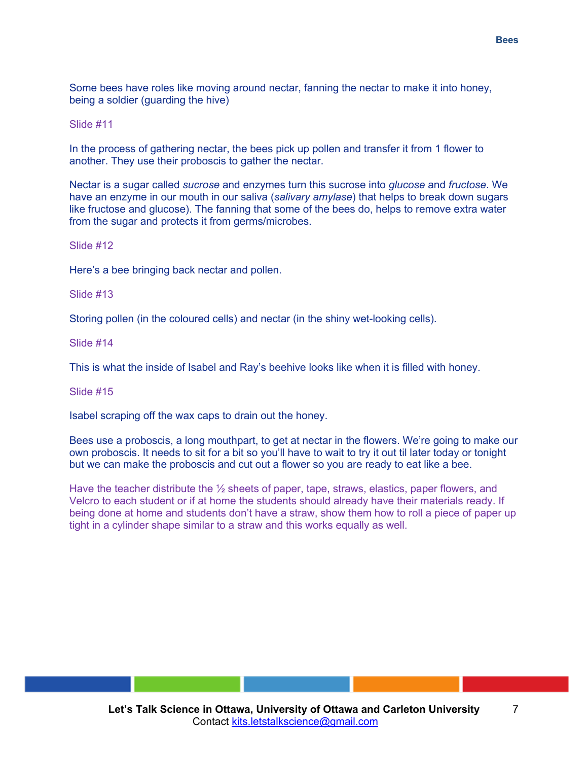Some bees have roles like moving around nectar, fanning the nectar to make it into honey, being a soldier (guarding the hive)

#### Slide #11

In the process of gathering nectar, the bees pick up pollen and transfer it from 1 flower to another. They use their proboscis to gather the nectar.

Nectar is a sugar called *sucrose* and enzymes turn this sucrose into *glucose* and *fructose*. We have an enzyme in our mouth in our saliva (*salivary amylase*) that helps to break down sugars like fructose and glucose). The fanning that some of the bees do, helps to remove extra water from the sugar and protects it from germs/microbes.

#### Slide #12

Here's a bee bringing back nectar and pollen.

Slide #13

Storing pollen (in the coloured cells) and nectar (in the shiny wet-looking cells).

Slide #14

This is what the inside of Isabel and Ray's beehive looks like when it is filled with honey.

#### Slide #15

Isabel scraping off the wax caps to drain out the honey.

Bees use a proboscis, a long mouthpart, to get at nectar in the flowers. We're going to make our own proboscis. It needs to sit for a bit so you'll have to wait to try it out til later today or tonight but we can make the proboscis and cut out a flower so you are ready to eat like a bee.

Have the teacher distribute the ½ sheets of paper, tape, straws, elastics, paper flowers, and Velcro to each student or if at home the students should already have their materials ready. If being done at home and students don't have a straw, show them how to roll a piece of paper up tight in a cylinder shape similar to a straw and this works equally as well.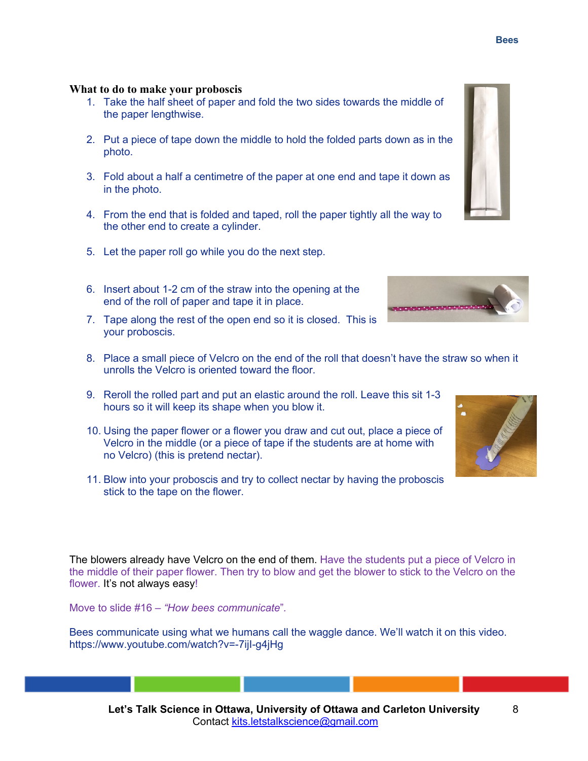## **What to do to make your proboscis**

- 1. Take the half sheet of paper and fold the two sides towards the middle of the paper lengthwise.
- 2. Put a piece of tape down the middle to hold the folded parts down as in the photo.
- 3. Fold about a half a centimetre of the paper at one end and tape it down as in the photo.
- 4. From the end that is folded and taped, roll the paper tightly all the way to the other end to create a cylinder.
- 5. Let the paper roll go while you do the next step.
- 6. Insert about 1-2 cm of the straw into the opening at the end of the roll of paper and tape it in place.
- 7. Tape along the rest of the open end so it is closed. This is your proboscis.
- 8. Place a small piece of Velcro on the end of the roll that doesn't have the straw so when it unrolls the Velcro is oriented toward the floor.
- 9. Reroll the rolled part and put an elastic around the roll. Leave this sit 1-3 hours so it will keep its shape when you blow it.
- 10. Using the paper flower or a flower you draw and cut out, place a piece of Velcro in the middle (or a piece of tape if the students are at home with no Velcro) (this is pretend nectar).
- 11. Blow into your proboscis and try to collect nectar by having the proboscis stick to the tape on the flower.

The blowers already have Velcro on the end of them. Have the students put a piece of Velcro in the middle of their paper flower. Then try to blow and get the blower to stick to the Velcro on the flower. It's not always easy!

Move to slide #16 – *"How bees communicate*"*.*

Bees communicate using what we humans call the waggle dance. We'll watch it on this video. https://www.youtube.com/watch?v=-7ijI-g4jHg



*<u>Program Contract Contract Contract Contract Contract Contract Contract Contract Contract Contract Contract Contract Contract Contract Contract Contract Contract Contract Contract Contract Contract Contract Contract Cont*</u>